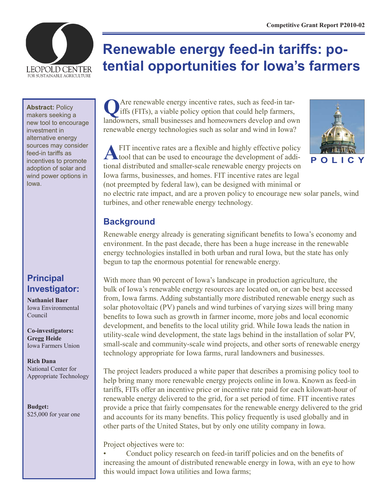

# **Renewable energy feed-in tariffs: potential opportunities for Iowa's farmers**

**Abstract: Policy** 

makers seeking a new tool to encourage investment in alternative energy sources may consider feed-in tariffs as incentives to promote adoption of solar and wind power options in Iowa.

# **Principal Investigator:**

**Nathaniel Baer** Iowa Environmental Council

**Co-investigators: Gregg Heide** Iowa Farmers Union

**Rich Dana** National Center for Appropriate Technology

**Budget:** \$25,000 for year one

**Q**Are renewable energy incentive rates, such as feed-in tar-iffs (FITs), a viable policy option that could help farmers, landowners, small businesses and homeowners develop and own renewable energy technologies such as solar and wind in Iowa?



**A**FIT incentive rates are a flexible and highly effective policy tool that can be used to encourage the development of additional distributed and smaller-scale renewable energy projects on Iowa farms, businesses, and homes. FIT incentive rates are legal (not preempted by federal law), can be designed with minimal or

no electric rate impact, and are a proven policy to encourage new solar panels, wind turbines, and other renewable energy technology.

# **Background**

Renewable energy already is generating significant benefits to Iowa's economy and environment. In the past decade, there has been a huge increase in the renewable energy technologies installed in both urban and rural Iowa, but the state has only begun to tap the enormous potential for renewable energy.

With more than 90 percent of Iowa's landscape in production agriculture, the bulk of Iowa's renewable energy resources are located on, or can be best accessed from, Iowa farms. Adding substantially more distributed renewable energy such as solar photovoltaic (PV) panels and wind turbines of varying sizes will bring many benefits to Iowa such as growth in farmer income, more jobs and local economic development, and benefits to the local utility grid. While Iowa leads the nation in utility-scale wind development, the state lags behind in the installation of solar PV, small-scale and community-scale wind projects, and other sorts of renewable energy technology appropriate for Iowa farms, rural landowners and businesses.

The project leaders produced a white paper that describes a promising policy tool to help bring many more renewable energy projects online in Iowa. Known as feed-in tariffs, FITs offer an incentive price or incentive rate paid for each kilowatt-hour of renewable energy delivered to the grid, for a set period of time. FIT incentive rates provide a price that fairly compensates for the renewable energy delivered to the grid and accounts for its many benefits. This policy frequently is used globally and in other parts of the United States, but by only one utility company in Iowa.

Project objectives were to:

Conduct policy research on feed-in tariff policies and on the benefits of increasing the amount of distributed renewable energy in Iowa, with an eye to how this would impact Iowa utilities and Iowa farms;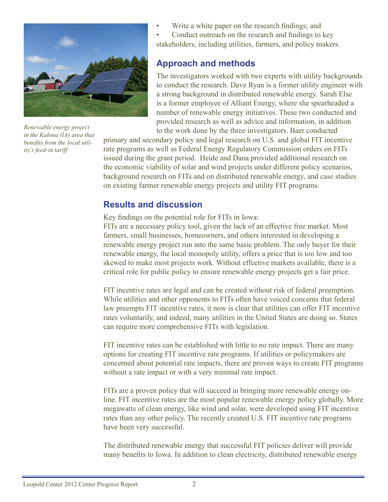

*Renewable energy project in the Kalona (IA) area that benefits from the local utility's feed-in tariff*

Write a white paper on the research findings; and

• Conduct outreach on the research and findings to key stakeholders, including utilities, farmers, and policy makers.

#### **Approach and methods**

The investigators worked with two experts with utility backgrounds to conduct the research. Dave Ryan is a former utility engineer with a strong background in distributed renewable energy. Sarah Else is a former employee of Alliant Energy, where she spearheaded a number of renewable energy initiatives. These two conducted and provided research as well as advice and information, in addition to the work done by the three investigators. Baer conducted

primary and secondary policy and legal research on U.S. and global FIT incentive rate programs as well as Federal Energy Regulatory Commission orders on FITs issued during the grant period. Heide and Dana provided additional research on the economic viability of solar and wind projects under different policy scenarios, background research on FITs and on distributed renewable energy, and case studies on existing farmer renewable energy projects and utility FIT programs.

#### **Results and discussion**

Key findings on the potential role for FITs in Iowa:

FITs are a necessary policy tool, given the lack of an effective free market. Most farmers, small businesses, homeowners, and others interested in developing a renewable energy project run into the same basic problem. The only buyer for their renewable energy, the local monopoly utility, offers a price that is too low and too skewed to make most projects work. Without effective markets available, there is a critical role for public policy to ensure renewable energy projects get a fair price.

FIT incentive rates are legal and can be created without risk of federal preemption. While utilities and other opponents to FITs often have voiced concerns that federal law preempts FIT incentive rates, it now is clear that utilities can offer FIT incentive rates voluntarily, and indeed, many utilities in the United States are doing so. States can require more comprehensive FITs with legislation.

FIT incentive rates can be established with little to no rate impact. There are many options for creating FIT incentive rate programs. If utilities or policymakers are concerned about potential rate impacts, there are proven ways to create FIT programs without a rate impact or with a very minimal rate impact.

FITs are a proven policy that will succeed in bringing more renewable energy online. FIT incentive rates are the most popular renewable energy policy globally. More megawatts of clean energy, like wind and solar, were developed using FIT incentive rates than any other policy. The recently created U.S. FIT incentive rate programs have been very successful.

The distributed renewable energy that successful FIT policies deliver will provide many benefits to Iowa. In addition to clean electricity, distributed renewable energy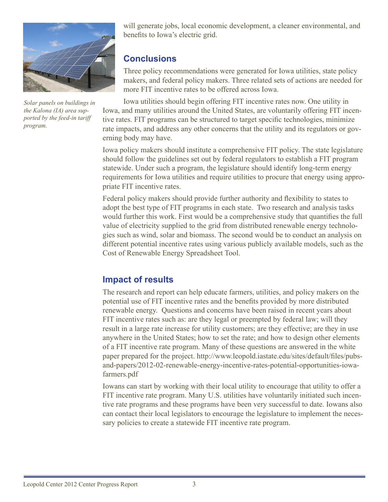

*Solar panels on buildings in the Kalona (IA) area supported by the feed-in tariff program.*

will generate jobs, local economic development, a cleaner environmental, and benefits to Iowa's electric grid.

# **Conclusions**

Three policy recommendations were generated for Iowa utilities, state policy makers, and federal policy makers. Three related sets of actions are needed for more FIT incentive rates to be offered across Iowa.

Iowa utilities should begin offering FIT incentive rates now. One utility in Iowa, and many utilities around the United States, are voluntarily offering FIT incentive rates. FIT programs can be structured to target specific technologies, minimize rate impacts, and address any other concerns that the utility and its regulators or governing body may have.

Iowa policy makers should institute a comprehensive FIT policy. The state legislature should follow the guidelines set out by federal regulators to establish a FIT program statewide. Under such a program, the legislature should identify long-term energy requirements for Iowa utilities and require utilities to procure that energy using appropriate FIT incentive rates.

Federal policy makers should provide further authority and flexibility to states to adopt the best type of FIT programs in each state. Two research and analysis tasks would further this work. First would be a comprehensive study that quantifies the full value of electricity supplied to the grid from distributed renewable energy technologies such as wind, solar and biomass. The second would be to conduct an analysis on different potential incentive rates using various publicly available models, such as the Cost of Renewable Energy Spreadsheet Tool.

# **Impact of results**

The research and report can help educate farmers, utilities, and policy makers on the potential use of FIT incentive rates and the benefits provided by more distributed renewable energy. Questions and concerns have been raised in recent years about FIT incentive rates such as: are they legal or preempted by federal law; will they result in a large rate increase for utility customers; are they effective; are they in use anywhere in the United States; how to set the rate; and how to design other elements of a FIT incentive rate program. Many of these questions are answered in the white paper prepared for the project. http://www.leopold.iastate.edu/sites/default/files/pubsand-papers/2012-02-renewable-energy-incentive-rates-potential-opportunities-iowafarmers.pdf

Iowans can start by working with their local utility to encourage that utility to offer a FIT incentive rate program. Many U.S. utilities have voluntarily initiated such incentive rate programs and these programs have been very successful to date. Iowans also can contact their local legislators to encourage the legislature to implement the necessary policies to create a statewide FIT incentive rate program.